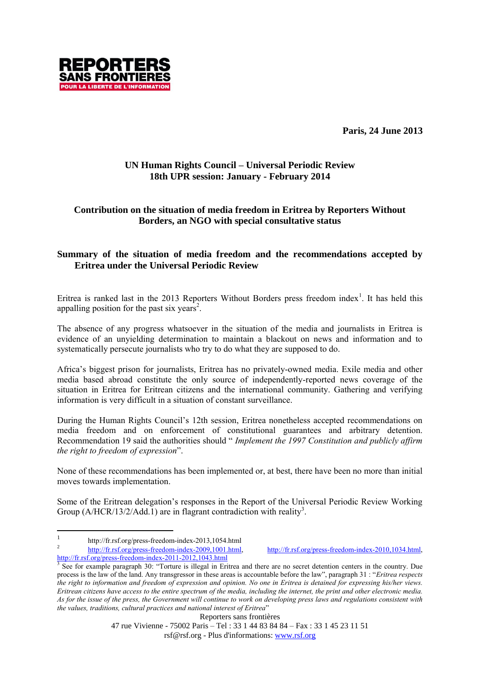**Paris, 24 June 2013**



## **UN Human Rights Council – Universal Periodic Review 18th UPR session: January - February 2014**

# **Contribution on the situation of media freedom in Eritrea by Reporters Without Borders, an NGO with special consultative status**

# **Summary of the situation of media freedom and the recommendations accepted by Eritrea under the Universal Periodic Review**

Eritrea is ranked last in the 2013 Reporters Without Borders press freedom index<sup>1</sup>. It has held this appalling position for the past six years<sup>2</sup>.

The absence of any progress whatsoever in the situation of the media and journalists in Eritrea is evidence of an unyielding determination to maintain a blackout on news and information and to systematically persecute journalists who try to do what they are supposed to do.

Africa's biggest prison for journalists, Eritrea has no privately-owned media. Exile media and other media based abroad constitute the only source of independently-reported news coverage of the situation in Eritrea for Eritrean citizens and the international community. Gathering and verifying information is very difficult in a situation of constant surveillance.

During the Human Rights Council's 12th session, Eritrea nonetheless accepted recommendations on media freedom and on enforcement of constitutional guarantees and arbitrary detention. Recommendation 19 said the authorities should " *Implement the 1997 Constitution and publicly affirm the right to freedom of expression*".

None of these recommendations has been implemented or, at best, there have been no more than initial moves towards implementation.

Some of the Eritrean delegation's responses in the Report of the Universal Periodic Review Working Group  $(A/HCR/13/2/Add.1)$  are in flagrant contradiction with reality<sup>3</sup>.

2 [http://fr.rsf.org/press-freedom-index-2009,1001.html,](http://fr.rsf.org/press-freedom-index-2009,1001.html) [http://fr.rsf.org/press-freedom-index-2010,1034.html,](http://fr.rsf.org/press-freedom-index-2010,1034.html) <http://fr.rsf.org/press-freedom-index-2011-2012,1043.html>

 $\frac{1}{1}$ http://fr.rsf.org/press-freedom-index-2013,1054.html

<sup>&</sup>lt;sup>3</sup> See for example paragraph 30: "Torture is illegal in Eritrea and there are no secret detention centers in the country. Due process is the law of the land. Any transgressor in these areas is accountable before the law", paragraph 31 : "*Eritrea respects the right to information and freedom of expression and opinion. No one in Eritrea is detained for expressing his/her views. Eritrean citizens have access to the entire spectrum of the media, including the internet, the print and other electronic media. As for the issue of the press, the Government will continue to work on developing press laws and regulations consistent with the values, traditions, cultural practices and national interest of Eritrea*"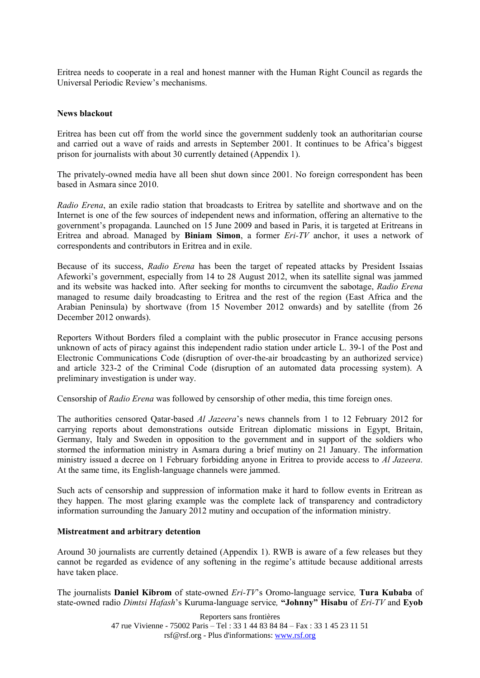Eritrea needs to cooperate in a real and honest manner with the Human Right Council as regards the Universal Periodic Review's mechanisms.

#### **News blackout**

Eritrea has been cut off from the world since the government suddenly took an authoritarian course and carried out a wave of raids and arrests in September 2001. It continues to be Africa's biggest prison for journalists with about 30 currently detained (Appendix 1).

The privately-owned media have all been shut down since 2001. No foreign correspondent has been based in Asmara since 2010.

*Radio Erena*, an exile radio station that broadcasts to Eritrea by satellite and shortwave and on the Internet is one of the few sources of independent news and information, offering an alternative to the government's propaganda. Launched on 15 June 2009 and based in Paris, it is targeted at Eritreans in Eritrea and abroad. Managed by **Biniam Simon**, a former *Eri-TV* anchor, it uses a network of correspondents and contributors in Eritrea and in exile.

Because of its success, *Radio Erena* has been the target of repeated attacks by President Issaias Afeworki's government, especially from 14 to 28 August 2012, when its satellite signal was jammed and its website was hacked into. After seeking for months to circumvent the sabotage, *Radio Erena* managed to resume daily broadcasting to Eritrea and the rest of the region (East Africa and the Arabian Peninsula) by shortwave (from 15 November 2012 onwards) and by satellite (from 26 December 2012 onwards).

Reporters Without Borders filed a complaint with the public prosecutor in France accusing persons unknown of acts of piracy against this independent radio station under article L. 39-1 of the Post and Electronic Communications Code (disruption of over-the-air broadcasting by an authorized service) and article 323-2 of the Criminal Code (disruption of an automated data processing system). A preliminary investigation is under way.

Censorship of *Radio Erena* was followed by censorship of other media, this time foreign ones.

The authorities censored Qatar-based *Al Jazeera*'s news channels from 1 to 12 February 2012 for carrying reports about demonstrations outside Eritrean diplomatic missions in Egypt, Britain, Germany, Italy and Sweden in opposition to the government and in support of the soldiers who stormed the information ministry in Asmara during a brief mutiny on 21 January. The information ministry issued a decree on 1 February forbidding anyone in Eritrea to provide access to *Al Jazeera*. At the same time, its English-language channels were jammed.

Such acts of censorship and suppression of information make it hard to follow events in Eritrean as they happen. The most glaring example was the complete lack of transparency and contradictory information surrounding the January 2012 mutiny and occupation of the information ministry.

#### **Mistreatment and arbitrary detention**

Around 30 journalists are currently detained (Appendix 1). RWB is aware of a few releases but they cannot be regarded as evidence of any softening in the regime's attitude because additional arrests have taken place.

The journalists **Daniel Kibrom** of state-owned *Eri-TV*'s Oromo-language service*,* **Tura Kubaba** of state-owned radio *Dimtsi Hafash*'s Kuruma-language service*,* **"Johnny" Hisabu** of *Eri-TV* and **Eyob** 

> Reporters sans frontières 47 rue Vivienne - 75002 Paris – Tel : 33 1 44 83 84 84 – Fax : 33 1 45 23 11 51 rsf@rsf.org - Plus d'informations: www.rsf.org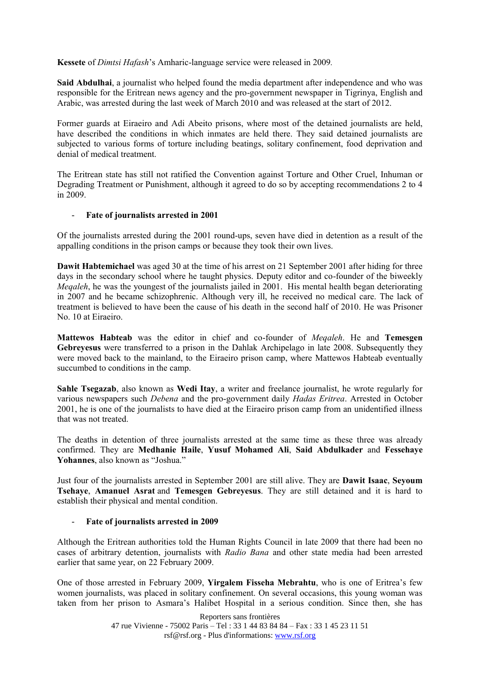**Kessete** of *Dimtsi Hafash*'s Amharic-language service were released in 2009*.*

**Said Abdulhai**, a journalist who helped found the media department after independence and who was responsible for the Eritrean news agency and the pro-government newspaper in Tigrinya, English and Arabic, was arrested during the last week of March 2010 and was released at the start of 2012.

Former guards at Eiraeiro and Adi Abeito prisons, where most of the detained journalists are held, have described the conditions in which inmates are held there. They said detained journalists are subjected to various forms of torture including beatings, solitary confinement, food deprivation and denial of medical treatment.

The Eritrean state has still not ratified the Convention against Torture and Other Cruel, Inhuman or Degrading Treatment or Punishment, although it agreed to do so by accepting recommendations 2 to 4 in 2009.

### - **Fate of journalists arrested in 2001**

Of the journalists arrested during the 2001 round-ups, seven have died in detention as a result of the appalling conditions in the prison camps or because they took their own lives.

**Dawit Habtemichael** was aged 30 at the time of his arrest on 21 September 2001 after hiding for three days in the secondary school where he taught physics. Deputy editor and co-founder of the biweekly *Megaleh*, he was the youngest of the journalists jailed in 2001. His mental health began deteriorating in 2007 and he became schizophrenic. Although very ill, he received no medical care. The lack of treatment is believed to have been the cause of his death in the second half of 2010. He was Prisoner No. 10 at Eiraeiro.

**Mattewos Habteab** was the editor in chief and co-founder of *Meqaleh*. He and **Temesgen Gebreyesus** were transferred to a prison in the Dahlak Archipelago in late 2008. Subsequently they were moved back to the mainland, to the Eiraeiro prison camp, where Mattewos Habteab eventually succumbed to conditions in the camp.

**Sahle Tsegazab**, also known as **Wedi Itay**, a writer and freelance journalist, he wrote regularly for various newspapers such *Debena* and the pro-government daily *Hadas Eritrea*. Arrested in October 2001, he is one of the journalists to have died at the Eiraeiro prison camp from an unidentified illness that was not treated.

The deaths in detention of three journalists arrested at the same time as these three was already confirmed. They are **Medhanie Haile**, **Yusuf Mohamed Ali**, **Said Abdulkader** and **Fessehaye Yohannes**, also known as "Joshua."

Just four of the journalists arrested in September 2001 are still alive. They are **Dawit Isaac**, **Seyoum Tsehaye**, **Amanuel Asrat** and **Temesgen Gebreyesus**. They are still detained and it is hard to establish their physical and mental condition.

### - **Fate of journalists arrested in 2009**

Although the Eritrean authorities told the Human Rights Council in late 2009 that there had been no cases of arbitrary detention, journalists with *Radio Bana* and other state media had been arrested earlier that same year, on 22 February 2009.

One of those arrested in February 2009, **Yirgalem Fisseha Mebrahtu**, who is one of Eritrea's few women journalists, was placed in solitary confinement. On several occasions, this young woman was taken from her prison to Asmara's Halibet Hospital in a serious condition. Since then, she has

> Reporters sans frontières 47 rue Vivienne - 75002 Paris – Tel : 33 1 44 83 84 84 – Fax : 33 1 45 23 11 51 rsf@rsf.org - Plus d'informations: www.rsf.org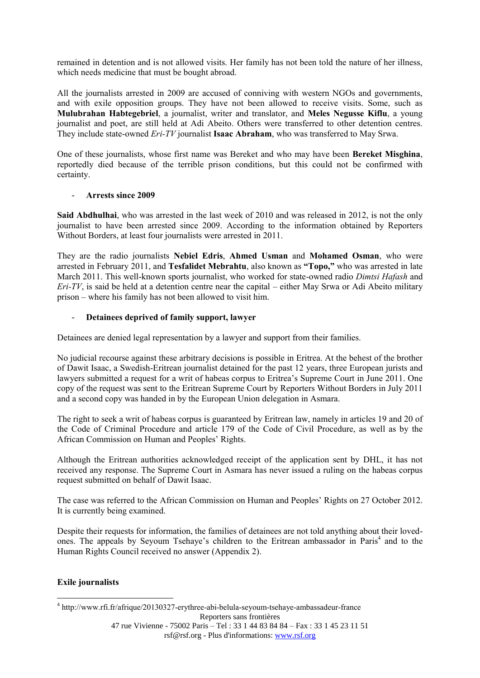remained in detention and is not allowed visits. Her family has not been told the nature of her illness, which needs medicine that must be bought abroad.

All the journalists arrested in 2009 are accused of conniving with western NGOs and governments, and with exile opposition groups. They have not been allowed to receive visits. Some, such as **Mulubrahan Habtegebriel**, a journalist, writer and translator, and **Meles Negusse Kiflu**, a young journalist and poet, are still held at Adi Abeito. Others were transferred to other detention centres. They include state-owned *Eri-TV* journalist **Isaac Abraham**, who was transferred to May Srwa.

One of these journalists, whose first name was Bereket and who may have been **Bereket Misghina**, reportedly died because of the terrible prison conditions, but this could not be confirmed with certainty.

### - **Arrests since 2009**

**Said Abdhulhai**, who was arrested in the last week of 2010 and was released in 2012, is not the only journalist to have been arrested since 2009. According to the information obtained by Reporters Without Borders, at least four journalists were arrested in 2011.

They are the radio journalists **Nebiel Edris**, **Ahmed Usman** and **Mohamed Osman**, who were arrested in February 2011, and **Tesfalidet Mebrahtu**, also known as **"Topo,"** who was arrested in late March 2011. This well-known sports journalist, who worked for state-owned radio *Dimtsi Hafash* and *Eri-TV*, is said be held at a detention centre near the capital – either May Srwa or Adi Abeito military prison – where his family has not been allowed to visit him.

## - **Detainees deprived of family support, lawyer**

Detainees are denied legal representation by a lawyer and support from their families.

No judicial recourse against these arbitrary decisions is possible in Eritrea. At the behest of the brother of Dawit Isaac, a Swedish-Eritrean journalist detained for the past 12 years, three European jurists and lawyers submitted a request for a writ of habeas corpus to Eritrea's Supreme Court in June 2011. One copy of the request was sent to the Eritrean Supreme Court by Reporters Without Borders in July 2011 and a second copy was handed in by the European Union delegation in Asmara.

The right to seek a writ of habeas corpus is guaranteed by Eritrean law, namely in articles 19 and 20 of the Code of Criminal Procedure and article 179 of the Code of Civil Procedure, as well as by the African Commission on Human and Peoples' Rights.

Although the Eritrean authorities acknowledged receipt of the application sent by DHL, it has not received any response. The Supreme Court in Asmara has never issued a ruling on the habeas corpus request submitted on behalf of Dawit Isaac.

The case was referred to the African Commission on Human and Peoples' Rights on 27 October 2012. It is currently being examined.

Despite their requests for information, the families of detainees are not told anything about their lovedones. The appeals by Seyoum Tsehaye's children to the Eritrean ambassador in Paris<sup>4</sup> and to the Human Rights Council received no answer (Appendix 2).

## **Exile journalists**

1

Reporters sans frontières 4 http://www.rfi.fr/afrique/20130327-erythree-abi-belula-seyoum-tsehaye-ambassadeur-france

47 rue Vivienne - 75002 Paris – Tel : 33 1 44 83 84 84 – Fax : 33 1 45 23 11 51 rsf@rsf.org - Plus d'informations: www.rsf.org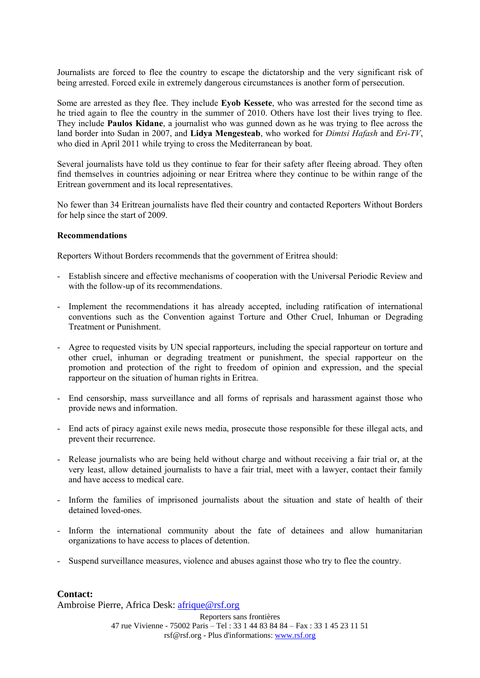Journalists are forced to flee the country to escape the dictatorship and the very significant risk of being arrested. Forced exile in extremely dangerous circumstances is another form of persecution.

Some are arrested as they flee. They include **Eyob Kessete**, who was arrested for the second time as he tried again to flee the country in the summer of 2010. Others have lost their lives trying to flee. They include **Paulos Kidane**, a journalist who was gunned down as he was trying to flee across the land border into Sudan in 2007, and **Lidya Mengesteab**, who worked for *Dimtsi Hafash* and *Eri-TV*, who died in April 2011 while trying to cross the Mediterranean by boat.

Several journalists have told us they continue to fear for their safety after fleeing abroad. They often find themselves in countries adjoining or near Eritrea where they continue to be within range of the Eritrean government and its local representatives.

No fewer than 34 Eritrean journalists have fled their country and contacted Reporters Without Borders for help since the start of 2009.

#### **Recommendations**

Reporters Without Borders recommends that the government of Eritrea should:

- Establish sincere and effective mechanisms of cooperation with the Universal Periodic Review and with the follow-up of its recommendations.
- Implement the recommendations it has already accepted, including ratification of international conventions such as the Convention against Torture and Other Cruel, Inhuman or Degrading Treatment or Punishment.
- Agree to requested visits by UN special rapporteurs, including the special rapporteur on torture and other cruel, inhuman or degrading treatment or punishment, the special rapporteur on the promotion and protection of the right to freedom of opinion and expression, and the special rapporteur on the situation of human rights in Eritrea.
- End censorship, mass surveillance and all forms of reprisals and harassment against those who provide news and information.
- End acts of piracy against exile news media, prosecute those responsible for these illegal acts, and prevent their recurrence.
- Release journalists who are being held without charge and without receiving a fair trial or, at the very least, allow detained journalists to have a fair trial, meet with a lawyer, contact their family and have access to medical care.
- Inform the families of imprisoned journalists about the situation and state of health of their detained loved-ones.
- Inform the international community about the fate of detainees and allow humanitarian organizations to have access to places of detention.
- Suspend surveillance measures, violence and abuses against those who try to flee the country.

### **Contact:**

Ambroise Pierre, Africa Desk: [afrique@rsf.org](mailto:persafriquen@rsf.org)

Reporters sans frontières 47 rue Vivienne - 75002 Paris – Tel : 33 1 44 83 84 84 – Fax : 33 1 45 23 11 51 rsf@rsf.org - Plus d'informations: www.rsf.org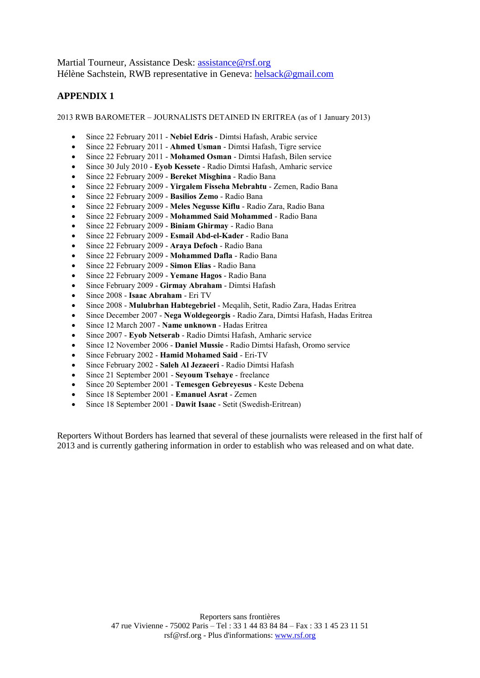Martial Tourneur, Assistance Desk: assistance @rsf.org Hélène Sachstein, RWB representative in Geneva: [helsack@gmail.com](mailto:helsack@gmail.com)

# **APPENDIX 1**

2013 RWB BAROMETER – JOURNALISTS DETAINED IN ERITREA (as of 1 January 2013)

- Since 22 February 2011 **Nebiel Edris** Dimtsi Hafash, Arabic service
- Since 22 February 2011 **Ahmed Usman** Dimtsi Hafash, Tigre service
- Since 22 February 2011 **Mohamed Osman** Dimtsi Hafash, Bilen service
- Since 30 July 2010 **Eyob Kessete** Radio Dimtsi Hafash, Amharic service
- Since 22 February 2009 **Bereket Misghina** Radio Bana
- Since 22 February 2009 **Yirgalem Fisseha Mebrahtu** Zemen, Radio Bana
- Since 22 February 2009 **Basilios Zemo** Radio Bana
- Since 22 February 2009 **Meles Negusse Kiflu** Radio Zara, Radio Bana
- Since 22 February 2009 **Mohammed Said Mohammed** Radio Bana
- Since 22 February 2009 **Biniam Ghirmay** Radio Bana
- Since 22 February 2009 **Esmail Abd-el-Kader** Radio Bana
- Since 22 February 2009 **Araya Defoch** Radio Bana
- Since 22 February 2009 **Mohammed Dafla** Radio Bana
- Since 22 February 2009 **Simon Elias** Radio Bana
- Since 22 February 2009 **Yemane Hagos** Radio Bana
- Since February 2009 **Girmay Abraham** Dimtsi Hafash
- Since 2008 **Isaac Abraham** Eri TV
- Since 2008 **Mulubrhan Habtegebriel** Meqalih, Setit, Radio Zara, Hadas Eritrea
- Since December 2007 **Nega Woldegeorgis** Radio Zara, Dimtsi Hafash, Hadas Eritrea
- Since 12 March 2007 **Name unknown** Hadas Eritrea
- Since 2007 **Eyob Netserab** Radio Dimtsi Hafash, Amharic service
- Since 12 November 2006 **Daniel Mussie** Radio Dimtsi Hafash, Oromo service
- Since February 2002 **Hamid Mohamed Said** Eri-TV
- Since February 2002 **Saleh Al Jezaeeri** Radio Dimtsi Hafash
- Since 21 September 2001 **Seyoum Tsehaye** freelance
- Since 20 September 2001 **Temesgen Gebreyesus** Keste Debena
- Since 18 September 2001 **Emanuel Asrat** Zemen
- Since 18 September 2001 **Dawit Isaac** Setit (Swedish-Eritrean)

Reporters Without Borders has learned that several of these journalists were released in the first half of 2013 and is currently gathering information in order to establish who was released and on what date.